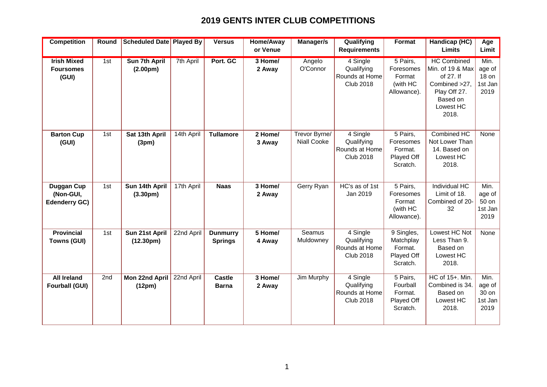## **2019 GENTS INTER CLUB COMPETITIONS**

| <b>Competition</b>                                     | Round | <b>Scheduled Date Played By</b>               |            | <b>Versus</b>                     | <b>Home/Away</b><br>or Venue | Manager/s                           | Qualifying<br><b>Requirements</b>                                         | <b>Format</b>                                                | Handicap (HC)<br><b>Limits</b>                                                                                         | Age<br>Limit                               |
|--------------------------------------------------------|-------|-----------------------------------------------|------------|-----------------------------------|------------------------------|-------------------------------------|---------------------------------------------------------------------------|--------------------------------------------------------------|------------------------------------------------------------------------------------------------------------------------|--------------------------------------------|
|                                                        |       |                                               |            |                                   |                              |                                     |                                                                           |                                                              |                                                                                                                        |                                            |
| <b>Irish Mixed</b><br><b>Foursomes</b><br>(GUI)        | 1st   | <b>Sun 7th April</b><br>(2.00 <sub>pm</sub> ) | 7th April  | Port. GC                          | 3 Home/<br>2 Away            | Angelo<br>O'Connor                  | 4 Single<br>Qualifying<br>Rounds at Home<br><b>Club 2018</b>              | 5 Pairs,<br>Foresomes<br>Format<br>(with HC<br>Allowance).   | <b>HC Combined</b><br>Min. of 19 & Max<br>of 27. If<br>Combined >27,<br>Play Off 27.<br>Based on<br>Lowest HC<br>2018. | Min.<br>age of<br>18 on<br>1st Jan<br>2019 |
| <b>Barton Cup</b><br>(GUI)                             | 1st   | Sat 13th April<br>(3pm)                       | 14th April | <b>Tullamore</b>                  | 2 Home/<br>3 Away            | Trevor Byrne/<br><b>Niall Cooke</b> | 4 Single<br>Qualifying<br>Rounds at Home<br><b>Club 2018</b>              | 5 Pairs,<br>Foresomes<br>Format.<br>Played Off<br>Scratch.   | Combined HC<br>Not Lower Than<br>14. Based on<br>Lowest HC<br>2018.                                                    | None                                       |
| <b>Duggan Cup</b><br>(Non-GUI,<br><b>Edenderry GC)</b> | 1st   | Sun 14th April<br>(3.30 <sub>pm</sub> )       | 17th April | <b>Naas</b>                       | 3 Home/<br>2 Away            | Gerry Ryan                          | HC's as of 1st<br>Jan 2019                                                | 5 Pairs,<br>Foresomes<br>Format<br>(with HC<br>Allowance).   | <b>Individual HC</b><br>Limit of 18.<br>Combined of 20-<br>32                                                          | Min.<br>age of<br>50 on<br>1st Jan<br>2019 |
| <b>Provincial</b><br>Towns (GUI)                       | 1st   | Sun 21st April<br>(12.30 <sub>pm</sub> )      | 22nd April | <b>Dunmurry</b><br><b>Springs</b> | 5 Home/<br>4 Away            | Seamus<br>Muldowney                 | 4 Single<br>Qualifying<br>Rounds at Home<br><b>Club 2018</b>              | 9 Singles,<br>Matchplay<br>Format.<br>Played Off<br>Scratch. | Lowest HC Not<br>Less Than 9.<br>Based on<br>Lowest HC<br>2018.                                                        | None                                       |
| <b>All Ireland</b><br><b>Fourball (GUI)</b>            | 2nd   | Mon 22nd April<br>(12pm)                      | 22nd April | <b>Castle</b><br><b>Barna</b>     | 3 Home/<br>2 Away            | Jim Murphy                          | $\overline{4}$ Single<br>Qualifying<br>Rounds at Home<br><b>Club 2018</b> | 5 Pairs,<br>Fourball<br>Format.<br>Played Off<br>Scratch.    | HC of 15+. Min.<br>Combined is 34.<br>Based on<br>Lowest HC<br>2018.                                                   | Min.<br>age of<br>30 on<br>1st Jan<br>2019 |